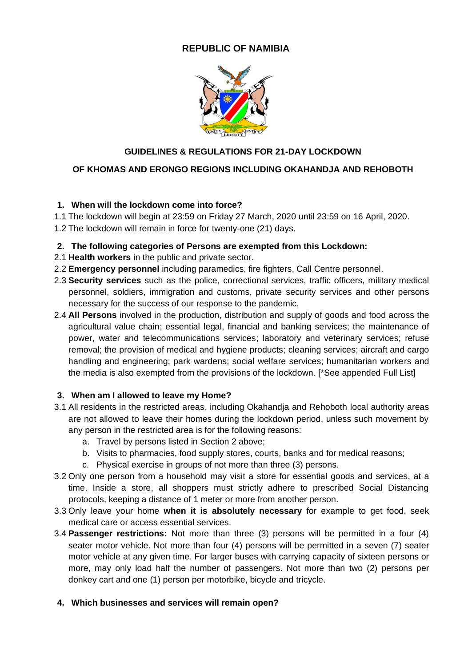# **REPUBLIC OF NAMIBIA**



# **GUIDELINES & REGULATIONS FOR 21-DAY LOCKDOWN**

# **OF KHOMAS AND ERONGO REGIONS INCLUDING OKAHANDJA AND REHOBOTH**

## **1. When will the lockdown come into force?**

- 1.1 The lockdown will begin at 23:59 on Friday 27 March, 2020 until 23:59 on 16 April, 2020.
- 1.2 The lockdown will remain in force for twenty-one (21) days.

## **2. The following categories of Persons are exempted from this Lockdown:**

- 2.1 **Health workers** in the public and private sector.
- 2.2 **Emergency personnel** including paramedics, fire fighters, Call Centre personnel.
- 2.3 **Security services** such as the police, correctional services, traffic officers, military medical personnel, soldiers, immigration and customs, private security services and other persons necessary for the success of our response to the pandemic.
- 2.4 **All Persons** involved in the production, distribution and supply of goods and food across the agricultural value chain; essential legal, financial and banking services; the maintenance of power, water and telecommunications services; laboratory and veterinary services; refuse removal; the provision of medical and hygiene products; cleaning services; aircraft and cargo handling and engineering; park wardens; social welfare services; humanitarian workers and the media is also exempted from the provisions of the lockdown. [\*See appended Full List]

# **3. When am I allowed to leave my Home?**

- 3.1 All residents in the restricted areas, including Okahandja and Rehoboth local authority areas are not allowed to leave their homes during the lockdown period, unless such movement by any person in the restricted area is for the following reasons:
	- a. Travel by persons listed in Section 2 above;
	- b. Visits to pharmacies, food supply stores, courts, banks and for medical reasons;
	- c. Physical exercise in groups of not more than three (3) persons.
- 3.2 Only one person from a household may visit a store for essential goods and services, at a time. Inside a store, all shoppers must strictly adhere to prescribed Social Distancing protocols, keeping a distance of 1 meter or more from another person.
- 3.3 Only leave your home **when it is absolutely necessary** for example to get food, seek medical care or access essential services.
- 3.4 **Passenger restrictions:** Not more than three (3) persons will be permitted in a four (4) seater motor vehicle. Not more than four (4) persons will be permitted in a seven (7) seater motor vehicle at any given time. For larger buses with carrying capacity of sixteen persons or more, may only load half the number of passengers. Not more than two (2) persons per donkey cart and one (1) person per motorbike, bicycle and tricycle.

# **4. Which businesses and services will remain open?**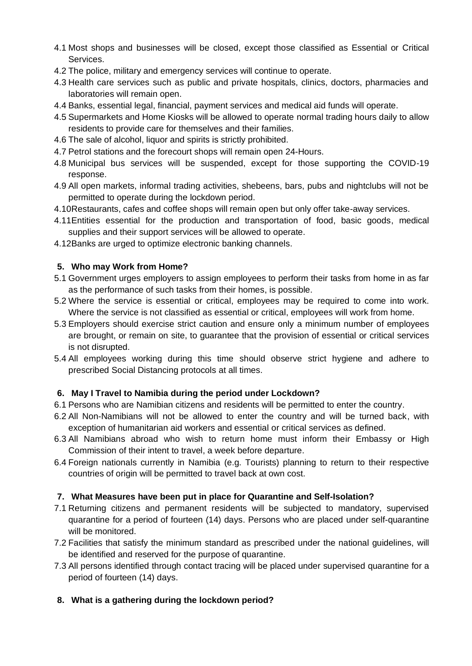- 4.1 Most shops and businesses will be closed, except those classified as Essential or Critical Services.
- 4.2 The police, military and emergency services will continue to operate.
- 4.3 Health care services such as public and private hospitals, clinics, doctors, pharmacies and laboratories will remain open.
- 4.4 Banks, essential legal, financial, payment services and medical aid funds will operate.
- 4.5 Supermarkets and Home Kiosks will be allowed to operate normal trading hours daily to allow residents to provide care for themselves and their families.
- 4.6 The sale of alcohol, liquor and spirits is strictly prohibited.
- 4.7 Petrol stations and the forecourt shops will remain open 24-Hours.
- 4.8 Municipal bus services will be suspended, except for those supporting the COVID-19 response.
- 4.9 All open markets, informal trading activities, shebeens, bars, pubs and nightclubs will not be permitted to operate during the lockdown period.
- 4.10Restaurants, cafes and coffee shops will remain open but only offer take-away services.
- 4.11Entities essential for the production and transportation of food, basic goods, medical supplies and their support services will be allowed to operate.
- 4.12Banks are urged to optimize electronic banking channels.

### **5. Who may Work from Home?**

- 5.1 Government urges employers to assign employees to perform their tasks from home in as far as the performance of such tasks from their homes, is possible.
- 5.2 Where the service is essential or critical, employees may be required to come into work. Where the service is not classified as essential or critical, employees will work from home.
- 5.3 Employers should exercise strict caution and ensure only a minimum number of employees are brought, or remain on site, to guarantee that the provision of essential or critical services is not disrupted.
- 5.4 All employees working during this time should observe strict hygiene and adhere to prescribed Social Distancing protocols at all times.

## **6. May I Travel to Namibia during the period under Lockdown?**

- 6.1 Persons who are Namibian citizens and residents will be permitted to enter the country.
- 6.2 All Non-Namibians will not be allowed to enter the country and will be turned back, with exception of humanitarian aid workers and essential or critical services as defined.
- 6.3 All Namibians abroad who wish to return home must inform their Embassy or High Commission of their intent to travel, a week before departure.
- 6.4 Foreign nationals currently in Namibia (e.g. Tourists) planning to return to their respective countries of origin will be permitted to travel back at own cost.

#### **7. What Measures have been put in place for Quarantine and Self-Isolation?**

- 7.1 Returning citizens and permanent residents will be subjected to mandatory, supervised quarantine for a period of fourteen (14) days. Persons who are placed under self-quarantine will be monitored.
- 7.2 Facilities that satisfy the minimum standard as prescribed under the national guidelines, will be identified and reserved for the purpose of quarantine.
- 7.3 All persons identified through contact tracing will be placed under supervised quarantine for a period of fourteen (14) days.

## **8. What is a gathering during the lockdown period?**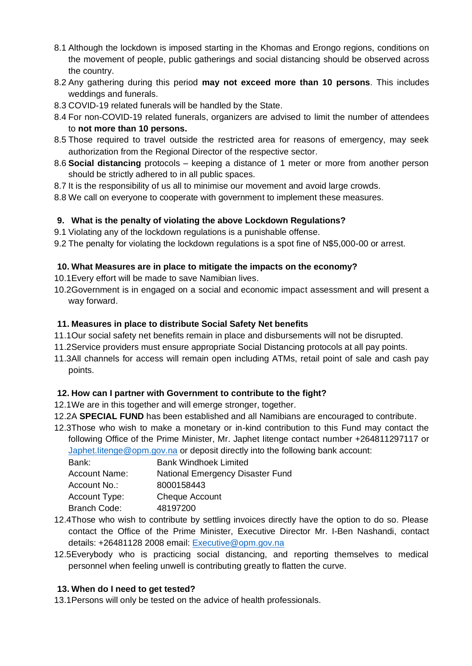- 8.1 Although the lockdown is imposed starting in the Khomas and Erongo regions, conditions on the movement of people, public gatherings and social distancing should be observed across the country.
- 8.2 Any gathering during this period **may not exceed more than 10 persons**. This includes weddings and funerals.
- 8.3 COVID-19 related funerals will be handled by the State.
- 8.4 For non-COVID-19 related funerals, organizers are advised to limit the number of attendees to **not more than 10 persons.**
- 8.5 Those required to travel outside the restricted area for reasons of emergency, may seek authorization from the Regional Director of the respective sector.
- 8.6 **Social distancing** protocols keeping a distance of 1 meter or more from another person should be strictly adhered to in all public spaces.
- 8.7 It is the responsibility of us all to minimise our movement and avoid large crowds.
- 8.8 We call on everyone to cooperate with government to implement these measures.

### **9. What is the penalty of violating the above Lockdown Regulations?**

9.1 Violating any of the lockdown regulations is a punishable offense.

9.2 The penalty for violating the lockdown regulations is a spot fine of N\$5,000-00 or arrest.

### **10. What Measures are in place to mitigate the impacts on the economy?**

- 10.1Every effort will be made to save Namibian lives.
- 10.2Government is in engaged on a social and economic impact assessment and will present a way forward.

### **11. Measures in place to distribute Social Safety Net benefits**

- 11.1Our social safety net benefits remain in place and disbursements will not be disrupted.
- 11.2Service providers must ensure appropriate Social Distancing protocols at all pay points.
- 11.3All channels for access will remain open including ATMs, retail point of sale and cash pay points.

## **12. How can I partner with Government to contribute to the fight?**

- 12.1We are in this together and will emerge stronger, together.
- 12.2A **SPECIAL FUND** has been established and all Namibians are encouraged to contribute.
- 12.3Those who wish to make a monetary or in-kind contribution to this Fund may contact the following Office of the Prime Minister, Mr. Japhet Iitenge contact number +264811297117 or [Japhet.Iitenge@opm.gov.na](mailto:Japhet.Iitenge@opm.gov.na) or deposit directly into the following bank account:

| Bank:         | <b>Bank Windhoek Limited</b>     |
|---------------|----------------------------------|
| Account Name: | National Emergency Disaster Fund |
| Account No.:  | 8000158443                       |
| Account Type: | <b>Cheque Account</b>            |
| Branch Code:  | 48197200                         |
|               |                                  |

- 12.4Those who wish to contribute by settling invoices directly have the option to do so. Please contact the Office of the Prime Minister, Executive Director Mr. I-Ben Nashandi, contact details: +26481128 2008 email: [Executive@opm.gov.na](mailto:Executive@opm.gov.na)
- 12.5Everybody who is practicing social distancing, and reporting themselves to medical personnel when feeling unwell is contributing greatly to flatten the curve.

## **13. When do I need to get tested?**

13.1Persons will only be tested on the advice of health professionals.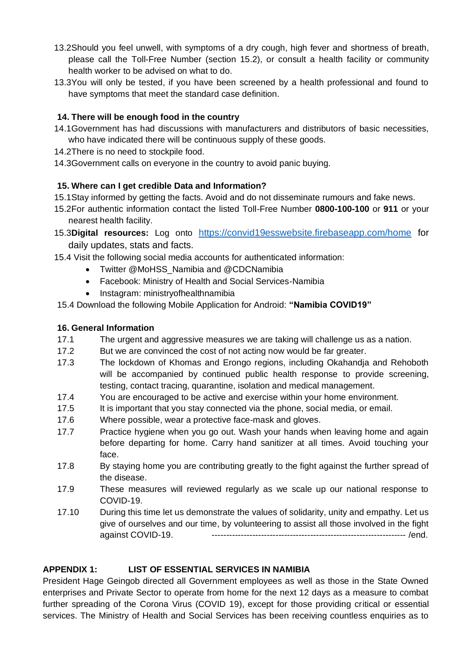- 13.2Should you feel unwell, with symptoms of a dry cough, high fever and shortness of breath, please call the Toll-Free Number (section 15.2), or consult a health facility or community health worker to be advised on what to do.
- 13.3You will only be tested, if you have been screened by a health professional and found to have symptoms that meet the standard case definition.

## **14. There will be enough food in the country**

- 14.1Government has had discussions with manufacturers and distributors of basic necessities, who have indicated there will be continuous supply of these goods.
- 14.2There is no need to stockpile food.
- 14.3Government calls on everyone in the country to avoid panic buying.

### **15. Where can I get credible Data and Information?**

- 15.1Stay informed by getting the facts. Avoid and do not disseminate rumours and fake news.
- 15.2For authentic information contact the listed Toll-Free Number **0800-100-100** or **911** or your nearest health facility.
- 15.3**Digital resources:** Log onto <https://convid19esswebsite.firebaseapp.com/home> for daily updates, stats and facts.
- 15.4 Visit the following social media accounts for authenticated information:
	- Twitter @MoHSS\_Namibia and @CDCNamibia
	- Facebook: Ministry of Health and Social Services-Namibia
	- Instagram: ministryofhealthnamibia

15.4 Download the following Mobile Application for Android: **"Namibia COVID19"**

### **16. General Information**

- 17.1 The urgent and aggressive measures we are taking will challenge us as a nation.
- 17.2 But we are convinced the cost of not acting now would be far greater.
- 17.3 The lockdown of Khomas and Erongo regions, including Okahandja and Rehoboth will be accompanied by continued public health response to provide screening, testing, contact tracing, quarantine, isolation and medical management.
- 17.4 You are encouraged to be active and exercise within your home environment.
- 17.5 It is important that you stay connected via the phone, social media, or email.
- 17.6 Where possible, wear a protective face-mask and gloves.
- 17.7 Practice hygiene when you go out. Wash your hands when leaving home and again before departing for home. Carry hand sanitizer at all times. Avoid touching your face.
- 17.8 By staying home you are contributing greatly to the fight against the further spread of the disease.
- 17.9 These measures will reviewed regularly as we scale up our national response to COVID-19.
- 17.10 During this time let us demonstrate the values of solidarity, unity and empathy. Let us give of ourselves and our time, by volunteering to assist all those involved in the fight against COVID-19. ------------------------------------------------------------------- /end.

## **APPENDIX 1: LIST OF ESSENTIAL SERVICES IN NAMIBIA**

President Hage Geingob directed all Government employees as well as those in the State Owned enterprises and Private Sector to operate from home for the next 12 days as a measure to combat further spreading of the Corona Virus (COVID 19), except for those providing critical or essential services. The Ministry of Health and Social Services has been receiving countless enquiries as to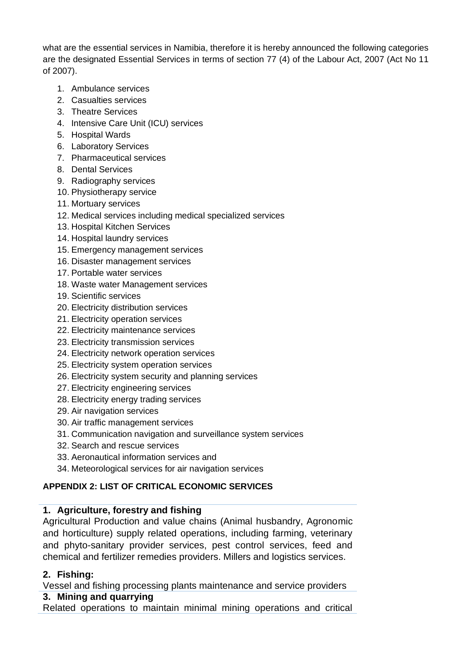what are the essential services in Namibia, therefore it is hereby announced the following categories are the designated Essential Services in terms of section 77 (4) of the Labour Act, 2007 (Act No 11 of 2007).

- 1. Ambulance services
- 2. Casualties services
- 3. Theatre Services
- 4. Intensive Care Unit (ICU) services
- 5. Hospital Wards
- 6. Laboratory Services
- 7. Pharmaceutical services
- 8. Dental Services
- 9. Radiography services
- 10. Physiotherapy service
- 11. Mortuary services
- 12. Medical services including medical specialized services
- 13. Hospital Kitchen Services
- 14. Hospital laundry services
- 15. Emergency management services
- 16. Disaster management services
- 17. Portable water services
- 18. Waste water Management services
- 19. Scientific services
- 20. Electricity distribution services
- 21. Electricity operation services
- 22. Electricity maintenance services
- 23. Electricity transmission services
- 24. Electricity network operation services
- 25. Electricity system operation services
- 26. Electricity system security and planning services
- 27. Electricity engineering services
- 28. Electricity energy trading services
- 29. Air navigation services
- 30. Air traffic management services
- 31. Communication navigation and surveillance system services
- 32. Search and rescue services
- 33. Aeronautical information services and
- 34. Meteorological services for air navigation services

# **APPENDIX 2: LIST OF CRITICAL ECONOMIC SERVICES**

# **1. Agriculture, forestry and fishing**

Agricultural Production and value chains (Animal husbandry, Agronomic and horticulture) supply related operations, including farming, veterinary and phyto-sanitary provider services, pest control services, feed and chemical and fertilizer remedies providers. Millers and logistics services.

# **2. Fishing:**

Vessel and fishing processing plants maintenance and service providers

# **3. Mining and quarrying**

Related operations to maintain minimal mining operations and critical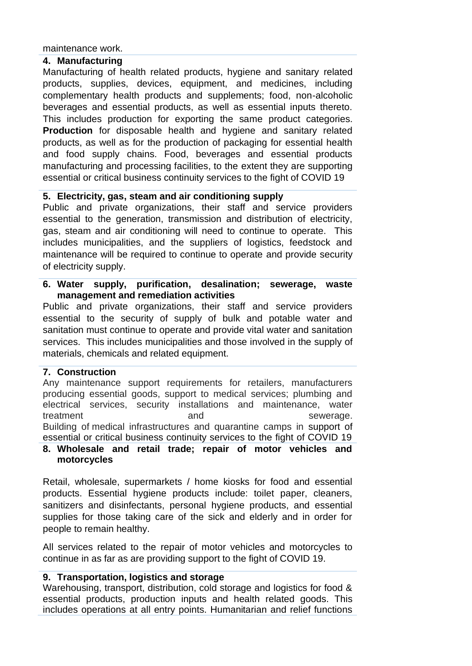maintenance work.

## **4. Manufacturing**

Manufacturing of health related products, hygiene and sanitary related products, supplies, devices, equipment, and medicines, including complementary health products and supplements; food, non-alcoholic beverages and essential products, as well as essential inputs thereto. This includes production for exporting the same product categories. **Production** for disposable health and hygiene and sanitary related products, as well as for the production of packaging for essential health and food supply chains. Food, beverages and essential products manufacturing and processing facilities, to the extent they are supporting essential or critical business continuity services to the fight of COVID 19

## **5. Electricity, gas, steam and air conditioning supply**

Public and private organizations, their staff and service providers essential to the generation, transmission and distribution of electricity, gas, steam and air conditioning will need to continue to operate. This includes municipalities, and the suppliers of logistics, feedstock and maintenance will be required to continue to operate and provide security of electricity supply.

## **6. Water supply, purification, desalination; sewerage, waste management and remediation activities**

Public and private organizations, their staff and service providers essential to the security of supply of bulk and potable water and sanitation must continue to operate and provide vital water and sanitation services. This includes municipalities and those involved in the supply of materials, chemicals and related equipment.

## **7. Construction**

Any maintenance support requirements for retailers, manufacturers producing essential goods, support to medical services; plumbing and electrical services, security installations and maintenance, water treatment and and sewerage. Building of medical infrastructures and quarantine camps in support of essential or critical business continuity services to the fight of COVID 19

# **8. Wholesale and retail trade; repair of motor vehicles and motorcycles**

Retail, wholesale, supermarkets / home kiosks for food and essential products. Essential hygiene products include: toilet paper, cleaners, sanitizers and disinfectants, personal hygiene products, and essential supplies for those taking care of the sick and elderly and in order for people to remain healthy.

All services related to the repair of motor vehicles and motorcycles to continue in as far as are providing support to the fight of COVID 19.

## **9. Transportation, logistics and storage**

Warehousing, transport, distribution, cold storage and logistics for food & essential products, production inputs and health related goods. This includes operations at all entry points. Humanitarian and relief functions